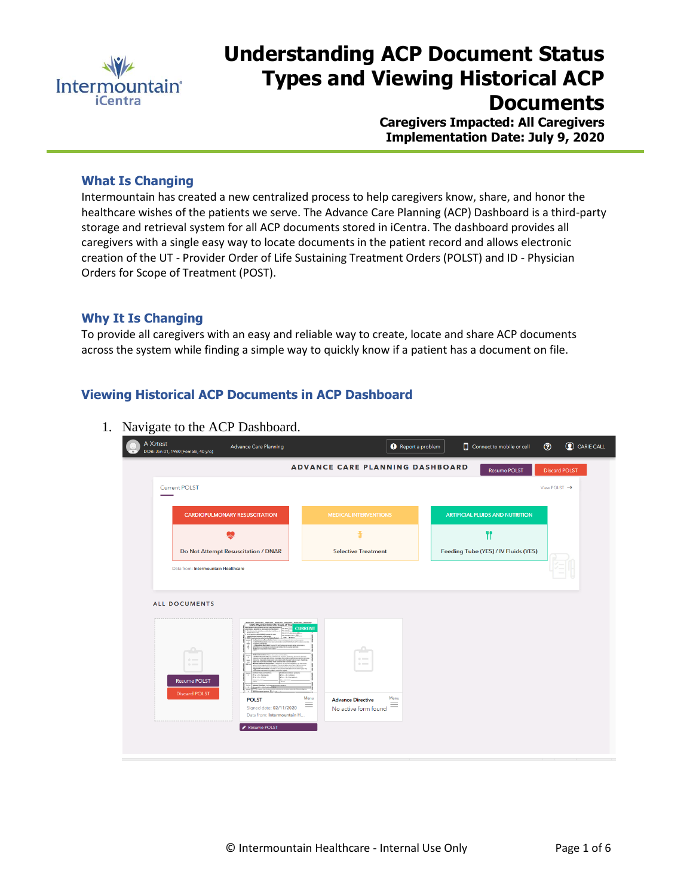

# **Understanding ACP Document Status Types and Viewing Historical ACP Documents**

**Caregivers Impacted: All Caregivers Implementation Date: July 9, 2020**

### **What Is Changing**

Intermountain has created a new centralized process to help caregivers know, share, and honor the healthcare wishes of the patients we serve. The Advance Care Planning (ACP) Dashboard is a third-party storage and retrieval system for all ACP documents stored in iCentra. The dashboard provides all caregivers with a single easy way to locate documents in the patient record and allows electronic creation of the UT - Provider Order of Life Sustaining Treatment Orders (POLST) and ID - Physician Orders for Scope of Treatment (POST).

#### **Why It Is Changing**

To provide all caregivers with an easy and reliable way to create, locate and share ACP documents across the system while finding a simple way to quickly know if a patient has a document on file.

# **Viewing Historical ACP Documents in ACP Dashboard**

| A Xztest<br><b>Advance Care Planning</b><br>DOB: Jan 01, 1980 (Female, 40 y/o)                | Report a problem                                                                         | C CARIE CALL<br>$\odot$<br>Connect to mobile or cell                    |
|-----------------------------------------------------------------------------------------------|------------------------------------------------------------------------------------------|-------------------------------------------------------------------------|
| <b>Current POLST</b>                                                                          | <b>ADVANCE CARE PLANNING DASHBOARD</b>                                                   | <b>Discard POLST</b><br><b>Resume POLST</b><br>View POLST $\rightarrow$ |
| <b>CARDIOPULMONARY RESUSCITATION</b>                                                          | <b>MEDICAL INTERVENTIONS</b>                                                             | <b>ARTIFICIAL FLUIDS AND NUTRITION</b>                                  |
|                                                                                               |                                                                                          | ۳î                                                                      |
| Do Not Attempt Resuscitation / DNAR<br>Data from: Intermountain Healthcare                    | <b>Selective Treatment</b>                                                               | Feeding Tube (YES) / IV Fluids (YES)                                    |
|                                                                                               |                                                                                          |                                                                         |
| <b>ALL DOCUMENTS</b>                                                                          |                                                                                          |                                                                         |
| Idaho Physician Orders for Scope of Tr                                                        | <b>CURRENT</b>                                                                           |                                                                         |
| ≏<br>$\circ$ =                                                                                | $0 = 1$<br>$\sim$                                                                        |                                                                         |
| Jim White<br><b>Resume POLST</b>                                                              |                                                                                          |                                                                         |
| <b>Discard POLST</b><br><b>POLST</b><br>Signed date: 02/11/2020<br>Data from: Intermountain H | Menu<br>Menu<br><b>Advance Directive</b><br>$\equiv$<br>$\equiv$<br>No active form found |                                                                         |
| Resume POLST                                                                                  |                                                                                          |                                                                         |

1. Navigate to the ACP Dashboard.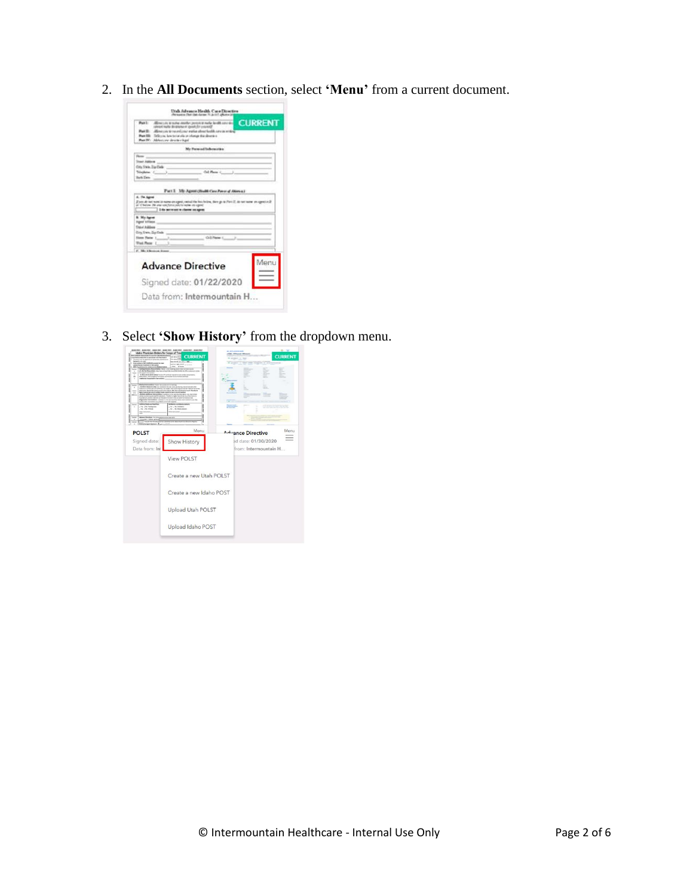2. In the **All Documents** section, select **'Menu'** from a current document.



3. Select **'Show History'** from the dropdown menu.

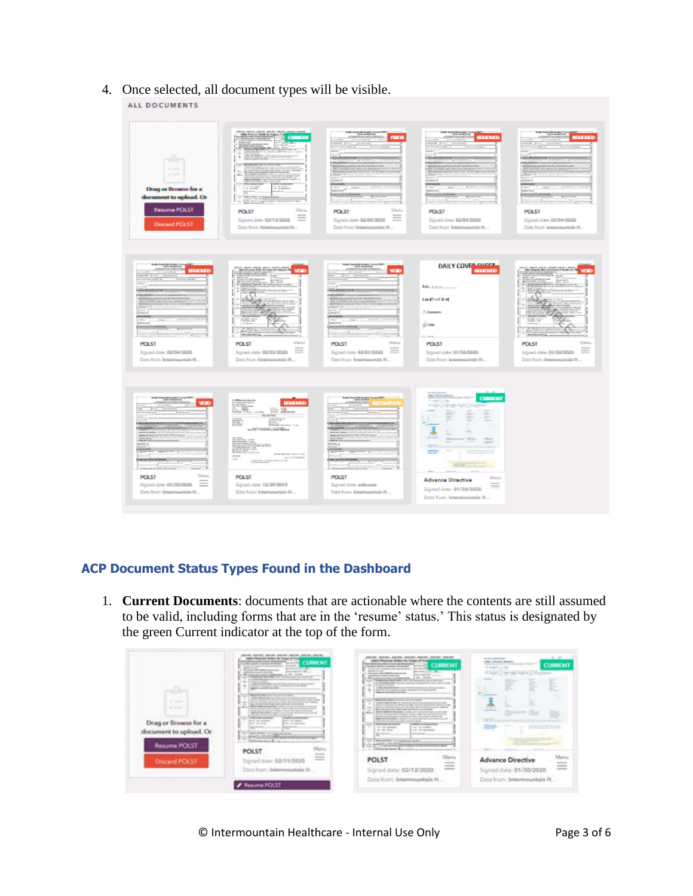4. Once selected, all document types will be visible.

#### ALL DOCUMENTS



# **ACP Document Status Types Found in the Dashboard**

1. **Current Documents**: documents that are actionable where the contents are still assumed to be valid, including forms that are in the 'resume' status.' This status is designated by the green Current indicator at the top of the form.

| .<br>the states<br>and company<br><b>STATISTICS</b><br>Drag or Browse for a<br>document to upload. Or<br>Resume POLST | pecific Januari, amount, Automo, Amount, Automo, Associa-<br>brights Physicians, Nickers Red Business of Trans<br>your sums advocate change up reserving<br><b>Seattle of McCorp.com</b><br>Landschalters, J. Andale of Allman<br><b>Britannico</b><br>The depth with the department of the product of the department of<br>distances and control<br>permitted and the pro-<br>THE CORN ORDER PRODUCTS IN<br>per actualment in different<br>dependence of the first and states<br>Granting Ave California in Millery<br><b>WILLIAM THE ROW AND</b><br><b><i>CARD CARD THE</i></b><br>the declaration of the con-<br><b>British Corp.</b><br>a Montre de Mar Lincoln para communicato por<br>allows a process of adult control party countries and con-<br>and the company's company's<br><b>BARA PAINTERS THE RUSSIA PLATE</b><br>$-$<br>table delays de construcción de précisió destinados.<br>THE R. P. LEWIS CO., LANSING, MICH. 49-14039-1-120-2<br>actively depends conversed and other the district law (2) and the deal<br>Sept.<br>No. 2012 at the 1932 call contacts could be<br>$\overline{\phantom{a}}$<br>delivery stations throughlast condition and security and conditions of the station<br><b>SELL</b><br>between the factory and working of the developer that is the developed and or<br>THE SALE ADVENUE CARD EXCELLENCE.<br>Senior Annualis, Listin Lis and Annual Annual Annual<br>and contract and a series are a series<br><b>And A contemporary</b><br><b><i>AMOVEMENT</i></b><br><b>STATISTICS</b><br><b>STOL AL MONEY</b><br>First streamed<br>FO. A DOMEST<br>THE SAN FIRM PRESENT<br>÷<br><b>Britan Carl State Corp.</b><br><b>Broom Limit Art</b><br>them which ago art to card<br>Martia | general approac convent quantum species: previous quantum<br>label Physician dealers for forces of Tron<br>stays cheese hart may be cheering the second<br><b>CLINN M</b><br><b>William O</b><br>I writery dealers a design to having<br>Think you is work to a more production?<br><b>March Council</b><br>painted and the first<br>This was a little to the control of the<br>parter take over 1,000 and<br><b>Building of the American Control Control</b><br><b>ALL ROUGH</b><br><b>SERVICE</b><br>Locates Austral combination dealership<br>techniques descriptions for the Convention for all conventions<br>and the first property than the property of the first plans of the company<br>take 14 Killage Library and<br>A Monday of A Head Corp. (Must be mainted and to be constitu-<br>and colors. And complete enterprises at transition for the characteristics.<br><b><i>Indicate constraints</i></b> developed<br>lane Wilson and Links Links<br>dealers should all the Car Content of L. All Lots, June 2121 and the composition<br>between science and distance in a state of the contract contract on the contract<br>administr that ends allows and is a cold in alle was allowed to control thanks at<br>$-$<br>April Added the chief states and chief strike a presidential<br>$\sim$<br>and the confidence of the annihilation of the following characteristics and the confidence<br><b>COLLEGE</b><br>and the party of the sales allows the departy departments of the party of the<br>back of policy and a strategic control of the con-<br>Algebra Aschedon Index 2 to scrandal assistant constitution for<br>solid play becomes a a rapid station report.<br><b>AGNO AVENUEDE</b><br><b>THE R IN THE ART AND INVESTIGATION</b><br>$\sim$<br>the phy temporal<br>THE LINE HOMES<br><b>Joe Printers</b><br><b>CALL ON MANAGER</b><br><b>British Advised Avenue</b><br><b>STATISTICS</b><br>1211 Main Swiss In Incapacities Auto<br>Joseph L. P.O. Mindale<br>$\sim$<br>The VI-Sold and University for a<br>B. Grant<br>__<br><b>Excellence of Automaker</b> | $-7.7$<br>the control and control of<br>colors, witnessed references<br><b>CURSENT</b><br>Statement Corporation<br>-----<br>2 July 1, 22 24 1030 L. Homes<br><b>Contract</b><br>$\frac{1}{2}$<br>--<br>_____<br>.<br>$=$ |
|-----------------------------------------------------------------------------------------------------------------------|--------------------------------------------------------------------------------------------------------------------------------------------------------------------------------------------------------------------------------------------------------------------------------------------------------------------------------------------------------------------------------------------------------------------------------------------------------------------------------------------------------------------------------------------------------------------------------------------------------------------------------------------------------------------------------------------------------------------------------------------------------------------------------------------------------------------------------------------------------------------------------------------------------------------------------------------------------------------------------------------------------------------------------------------------------------------------------------------------------------------------------------------------------------------------------------------------------------------------------------------------------------------------------------------------------------------------------------------------------------------------------------------------------------------------------------------------------------------------------------------------------------------------------------------------------------------------------------------------------------------------------------------------------------------------------------------------------------------------|-------------------------------------------------------------------------------------------------------------------------------------------------------------------------------------------------------------------------------------------------------------------------------------------------------------------------------------------------------------------------------------------------------------------------------------------------------------------------------------------------------------------------------------------------------------------------------------------------------------------------------------------------------------------------------------------------------------------------------------------------------------------------------------------------------------------------------------------------------------------------------------------------------------------------------------------------------------------------------------------------------------------------------------------------------------------------------------------------------------------------------------------------------------------------------------------------------------------------------------------------------------------------------------------------------------------------------------------------------------------------------------------------------------------------------------------------------------------------------------------------------------------------------------------------------------------------------------------------------------------------------------------------------------------------------------------------------------------------------------------------------------------------------------------------------------------------------------------------------------------------------------------------------------------------------------------------------------------------------------------------------------------------------------------------------------------------------------|--------------------------------------------------------------------------------------------------------------------------------------------------------------------------------------------------------------------------|
| <b>Discard POLST</b>                                                                                                  | POLST<br>animore.<br>contact on<br><b>SERVICE</b><br>alle: 03/11/2020<br>Data from: Internovertain H.                                                                                                                                                                                                                                                                                                                                                                                                                                                                                                                                                                                                                                                                                                                                                                                                                                                                                                                                                                                                                                                                                                                                                                                                                                                                                                                                                                                                                                                                                                                                                                                                                    | Martia<br>POLST<br>---<br>$\frac{1}{2} \left( \frac{1}{2} \right) \left( \frac{1}{2} \right) \left( \frac{1}{2} \right) \left( \frac{1}{2} \right) \left( \frac{1}{2} \right) \left( \frac{1}{2} \right) \left( \frac{1}{2} \right) \left( \frac{1}{2} \right) \left( \frac{1}{2} \right) \left( \frac{1}{2} \right) \left( \frac{1}{2} \right) \left( \frac{1}{2} \right) \left( \frac{1}{2} \right) \left( \frac{1}{2} \right) \left( \frac{1}{2} \right) \left( \frac{1}{2} \right) \left( \frac$<br>$\frac{1}{2} \left( \frac{1}{2} \right) \left( \frac{1}{2} \right) \left( \frac{1}{2} \right) \left( \frac{1}{2} \right) \left( \frac{1}{2} \right) \left( \frac{1}{2} \right) \left( \frac{1}{2} \right) \left( \frac{1}{2} \right) \left( \frac{1}{2} \right) \left( \frac{1}{2} \right) \left( \frac{1}{2} \right) \left( \frac{1}{2} \right) \left( \frac{1}{2} \right) \left( \frac{1}{2} \right) \left( \frac{1}{2} \right) \left( \frac{1}{2} \right) \left( \frac$<br>Signed date: 02/12/2020                                                                                                                                                                                                                                                                                                                                                                                                                                                                                                                                                                                                                                                                                                                                                                                                                                                                                                                                                                                                                                                                       | <b>Advance Directive</b><br>-<br><b>All Colors</b><br>Signed date: 01/30/2020                                                                                                                                            |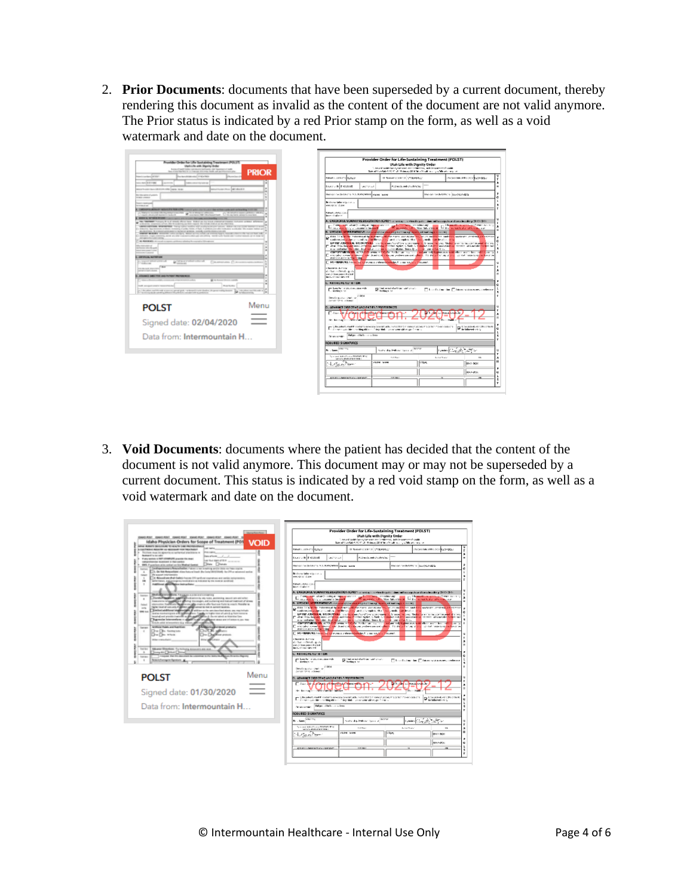2. **Prior Documents**: documents that have been superseded by a current document, thereby rendering this document as invalid as the content of the document are not valid anymore. The Prior status is indicated by a red Prior stamp on the form, as well as a void watermark and date on the document.



3. **Void Documents**: documents where the patient has decided that the content of the document is not valid anymore. This document may or may not be superseded by a current document. This status is indicated by a red void stamp on the form, as well as a void watermark and date on the document.